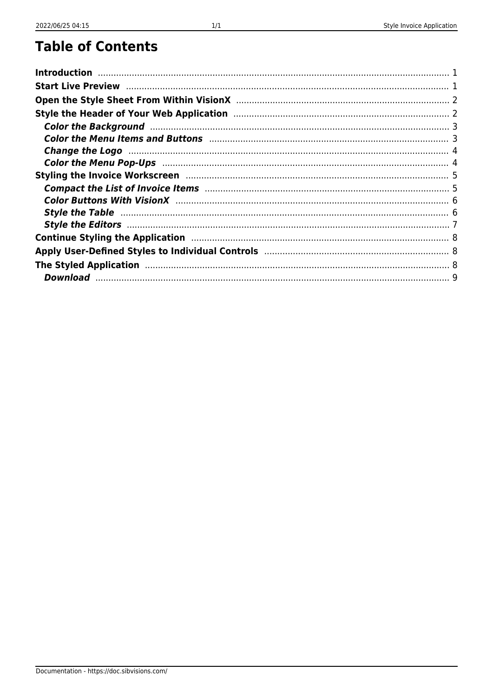### **Table of Contents**

| Color the Menu Items and Buttons <b>Manual Accord Color</b> the Menu 3                                          |  |
|-----------------------------------------------------------------------------------------------------------------|--|
| Change the Logo manufactured and the Logo and Allen and Allen and Allen and Allen and Allen and Allen and Allen |  |
| Color the Menu Pop-Ups (1999) (2008) (2008) (2008) (2008) (2008) (2008) (2008) (2008) (2008) (2008) (2008) (20  |  |
|                                                                                                                 |  |
|                                                                                                                 |  |
|                                                                                                                 |  |
| Style the Table manufactured and the Table of the manufactured and the Table of the Table of the Table of the   |  |
|                                                                                                                 |  |
|                                                                                                                 |  |
|                                                                                                                 |  |
|                                                                                                                 |  |
|                                                                                                                 |  |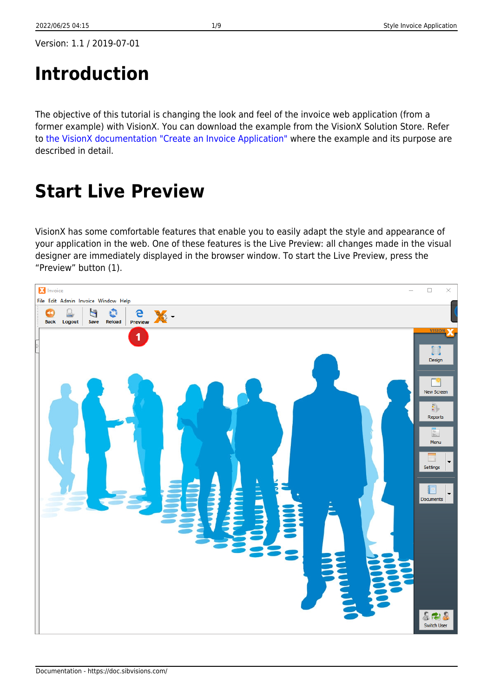# <span id="page-1-0"></span>**Introduction**

The objective of this tutorial is changing the look and feel of the invoice web application (from a former example) with VisionX. You can download the example from the VisionX Solution Store. Refer to [the VisionX documentation "Create an Invoice Application"](https://doc.sibvisions.com/visionx/invoice_application) where the example and its purpose are described in detail.

## <span id="page-1-1"></span>**Start Live Preview**

VisionX has some comfortable features that enable you to easily adapt the style and appearance of your application in the web. One of these features is the Live Preview: all changes made in the visual designer are immediately displayed in the browser window. To start the Live Preview, press the "Preview" button (1).

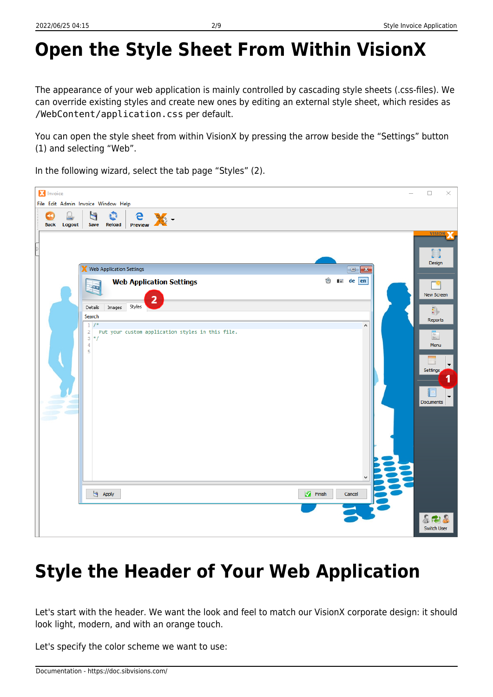# <span id="page-2-0"></span>**Open the Style Sheet From Within VisionX**

The appearance of your web application is mainly controlled by cascading style sheets (.css-files). We can override existing styles and create new ones by editing an external style sheet, which resides as /WebContent/application.css per default.

You can open the style sheet from within VisionX by pressing the arrow beside the "Settings" button (1) and selecting "Web".

In the following wizard, select the tab page "Styles" (2).

|   | <b>X</b> Invoice  | File Edit Admin Invoice Window Help                                                                                       |                                                             |                                                  |                            |                                               | $\overline{\phantom{0}}$ | $\Box$<br>$\times$                                                                                                                                          |
|---|-------------------|---------------------------------------------------------------------------------------------------------------------------|-------------------------------------------------------------|--------------------------------------------------|----------------------------|-----------------------------------------------|--------------------------|-------------------------------------------------------------------------------------------------------------------------------------------------------------|
|   | ⋖⋖<br>Back Logout | U<br>o<br>Save<br>Reload                                                                                                  | Preview XX                                                  |                                                  |                            |                                               |                          |                                                                                                                                                             |
| E | sti Lib           | Web Application Settings<br>Đ<br>Details<br>Images<br>Search<br>1/<br>$\mathbf 2$<br>$3 * 1$<br>4<br>5<br>$\bigcup$ Apply | <b>Web Application Settings</b><br>$\overline{2}$<br>Styles | Put your custom application styles in this file. | O<br>$\blacksquare$ Finish | $\Box$<br><b>is de en</b><br>A<br>v<br>Cancel |                          | <b>VISION</b><br>$L = 1$<br>Design<br>New Screen<br>卦<br>Reports<br>$\frac{1}{\sqrt{2}}$<br>Menu<br>$\blacktriangledown$<br>Settings<br>1<br>▼<br>Documents |
|   |                   |                                                                                                                           |                                                             |                                                  |                            |                                               |                          | 873<br>Switch User                                                                                                                                          |

## <span id="page-2-1"></span>**Style the Header of Your Web Application**

Let's start with the header. We want the look and feel to match our VisionX corporate design: it should look light, modern, and with an orange touch.

Let's specify the color scheme we want to use: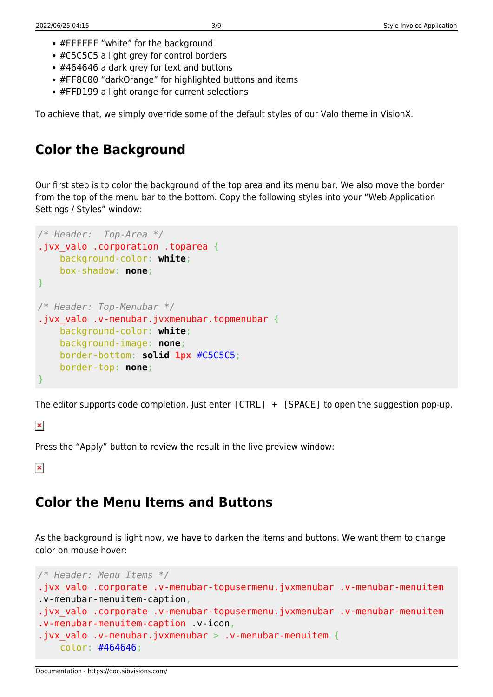- #FFFFFF "white" for the background
- #C5C5C5 a light grey for control borders
- #464646 a dark grey for text and buttons
- #FF8C00 "darkOrange" for highlighted buttons and items
- #FFD199 a light orange for current selections

To achieve that, we simply override some of the default styles of our Valo theme in VisionX.

### <span id="page-3-0"></span>**Color the Background**

Our first step is to color the background of the top area and its menu bar. We also move the border from the top of the menu bar to the bottom. Copy the following styles into your "Web Application Settings / Styles" window:

```
/* Header: Top-Area */
.jvx valo .corporation .toparea {
     background-color: white;
     box-shadow: none;
}
/* Header: Top-Menubar */
.jvx valo .v-menubar.jvxmenubar.topmenubar {
     background-color: white;
     background-image: none;
     border-bottom: solid 1px #C5C5C5;
     border-top: none;
}
```
The editor supports code completion. Just enter  $[CTRL] + [SPACE]$  to open the suggestion pop-up.

 $\pmb{\times}$ 

Press the "Apply" button to review the result in the live preview window:

 $\pmb{\times}$ 

#### <span id="page-3-1"></span>**Color the Menu Items and Buttons**

As the background is light now, we have to darken the items and buttons. We want them to change color on mouse hover:

```
/* Header: Menu Items */
.jvx_valo .corporate .v-menubar-topusermenu.jvxmenubar .v-menubar-menuitem
.v-menubar-menuitem-caption,
.jvx_valo .corporate .v-menubar-topusermenu.jvxmenubar .v-menubar-menuitem
.v-menubar-menuitem-caption .v-icon,
.jvx valo .v-menubar.jvxmenubar > .v-menubar-menuitem {
     color: #464646;
```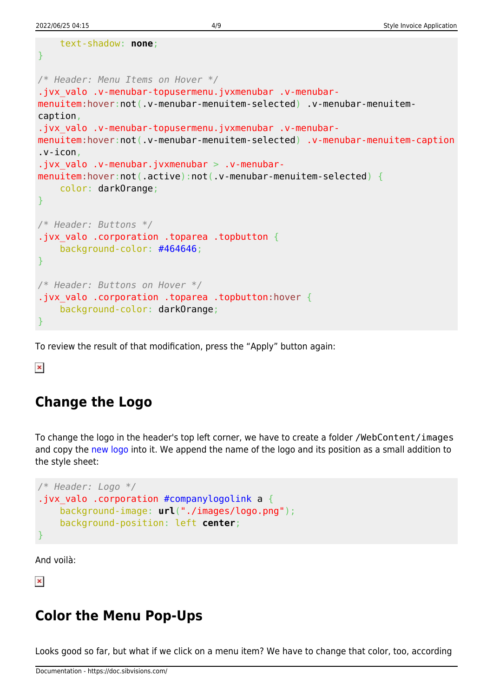text-shadow: **none**;

```
}
/* Header: Menu Items on Hover */
.jvx valo .v-menubar-topusermenu.jvxmenubar .v-menubar-
menuitem:hover:not(.v-menubar-menuitem-selected) .v-menubar-menuitem-
caption,
.jvx valo .v-menubar-topusermenu.jvxmenubar .v-menubar-
menuitem:hover:not(.v-menubar-menuitem-selected) .v-menubar-menuitem-caption
.v-icon,
.jvx valo .v-menubar.jvxmenubar > .v-menubar-
menuitem:hover:not(.active):not(.v-menubar-menuitem-selected) {
     color: darkOrange;
}
/* Header: Buttons */
.jvx valo .corporation .toparea .topbutton {
     background-color: #464646;
}
/* Header: Buttons on Hover */
.jvx_valo .corporation .toparea .topbutton:hover {
     background-color: darkOrange;
}
```
To review the result of that modification, press the "Apply" button again:

 $\pmb{\times}$ 

### <span id="page-4-0"></span>**Change the Logo**

To change the logo in the header's top left corner, we have to create a folder /WebContent/images and copy the [new logo](https://doc.sibvisions.com/_media/visionx/style_invoice_application/logo.png) into it. We append the name of the logo and its position as a small addition to the style sheet:

```
/* Header: Logo */
.jvx valo .corporation #companylogolink a {
     background-image: url("./images/logo.png");
     background-position: left center;
}
```
And voilà:

 $\pmb{\times}$ 

### <span id="page-4-1"></span>**Color the Menu Pop-Ups**

Looks good so far, but what if we click on a menu item? We have to change that color, too, according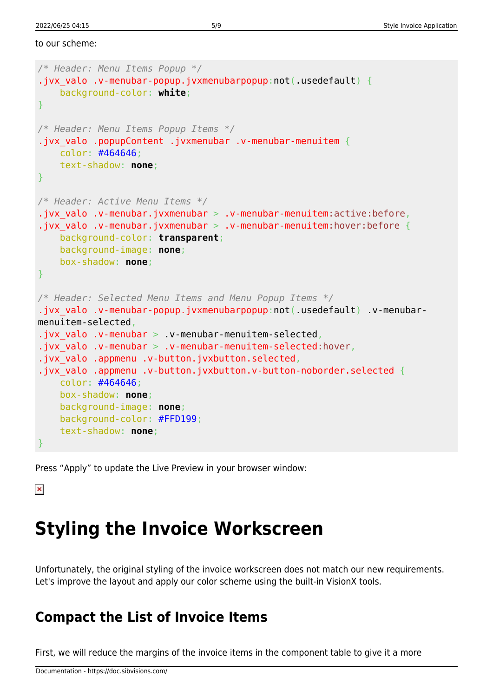to our scheme:

```
/* Header: Menu Items Popup */
.jvx valo .v-menubar-popup.jvxmenubarpopup:not(.usedefault) {
     background-color: white;
}
/* Header: Menu Items Popup Items */
.jvx_valo .popupContent .jvxmenubar .v-menubar-menuitem {
     color: #464646;
     text-shadow: none;
}
/* Header: Active Menu Items */
.jvx valo .v-menubar.jvxmenubar > .v-menubar-menuitem:active:before,
.jvx_valo .v-menubar.jvxmenubar > .v-menubar-menuitem:hover:before {
     background-color: transparent;
     background-image: none;
     box-shadow: none;
}
/* Header: Selected Menu Items and Menu Popup Items */
.jvx valo .v-menubar-popup.jvxmenubarpopup:not(.usedefault) .v-menubar-
menuitem-selected,
.jvx valo .v-menubar > .v-menubar-menuitem-selected,
.jvx valo .v-menubar > .v-menubar-menuitem-selected:hover,
.jvx valo .appmenu .v-button.jvxbutton.selected,
.jvx valo .appmenu .v-button.jvxbutton.v-button-noborder.selected {
     color: #464646;
     box-shadow: none;
     background-image: none;
     background-color: #FFD199;
     text-shadow: none;
}
```
Press "Apply" to update the Live Preview in your browser window:

 $\pmb{\times}$ 

## <span id="page-5-0"></span>**Styling the Invoice Workscreen**

Unfortunately, the original styling of the invoice workscreen does not match our new requirements. Let's improve the layout and apply our color scheme using the built-in VisionX tools.

#### <span id="page-5-1"></span>**Compact the List of Invoice Items**

First, we will reduce the margins of the invoice items in the component table to give it a more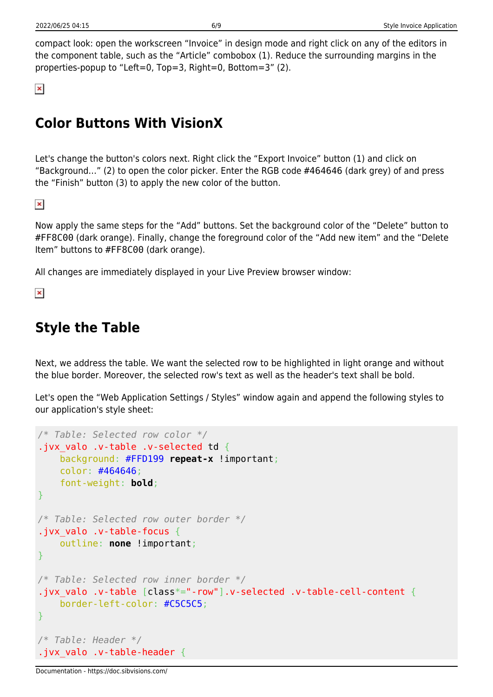compact look: open the workscreen "Invoice" in design mode and right click on any of the editors in the component table, such as the "Article" combobox (1). Reduce the surrounding margins in the properties-popup to "Left=0, Top=3, Right=0, Bottom=3" (2).

 $\pmb{\times}$ 

### <span id="page-6-0"></span>**Color Buttons With VisionX**

Let's change the button's colors next. Right click the "Export Invoice" button (1) and click on "Background…" (2) to open the color picker. Enter the RGB code #464646 (dark grey) of and press the "Finish" button (3) to apply the new color of the button.

 $\pmb{\times}$ 

Now apply the same steps for the "Add" buttons. Set the background color of the "Delete" button to #FF8C00 (dark orange). Finally, change the foreground color of the "Add new item" and the "Delete Item" buttons to #FF8C00 (dark orange).

All changes are immediately displayed in your Live Preview browser window:

 $\pmb{\times}$ 

### <span id="page-6-1"></span>**Style the Table**

Next, we address the table. We want the selected row to be highlighted in light orange and without the blue border. Moreover, the selected row's text as well as the header's text shall be bold.

Let's open the "Web Application Settings / Styles" window again and append the following styles to our application's style sheet:

```
/* Table: Selected row color */
.jvx valo .v-table .v-selected td {
     background: #FFD199 repeat-x !important;
     color: #464646;
     font-weight: bold;
}
/* Table: Selected row outer border */
.jvx_valo .v-table-focus {
     outline: none !important;
}
/* Table: Selected row inner border */
.jvx valo .v-table [class*="-row"].v-selected .v-table-cell-content {
     border-left-color: #C5C5C5;
}
/* Table: Header */
.jvx_valo .v-table-header {
```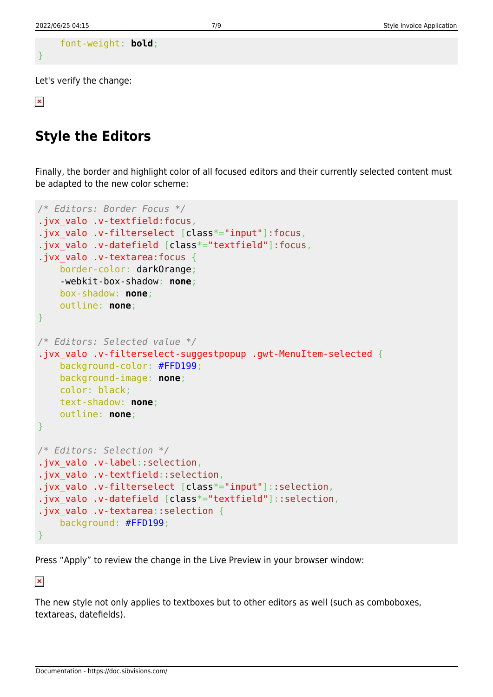```
 font-weight: bold;
```
}

Let's verify the change:

 $\pmb{\times}$ 

#### <span id="page-7-0"></span>**Style the Editors**

Finally, the border and highlight color of all focused editors and their currently selected content must be adapted to the new color scheme:

```
/* Editors: Border Focus */
.jvx valo .v-textfield:focus,
.jvx valo .v-filterselect [class*="input"]:focus,
.jvx valo .v-datefield [class*="textfield"]:focus,
.jvx valo .v-textarea:focus {
     border-color: darkOrange;
     -webkit-box-shadow: none;
     box-shadow: none;
     outline: none;
}
/* Editors: Selected value */
.jvx_valo .v-filterselect-suggestpopup .gwt-MenuItem-selected {
     background-color: #FFD199;
     background-image: none;
     color: black;
     text-shadow: none;
     outline: none;
}
/* Editors: Selection */
.jvx_valo .v-label::selection,
.jvx valo .v-textfield::selection,
.jvx valo .v-filterselect [class*="input"]::selection,
.jvx valo .v-datefield [class*="textfield"]::selection,
.jvx valo .v-textarea::selection {
     background: #FFD199;
}
```
Press "Apply" to review the change in the Live Preview in your browser window:

 $\pmb{\times}$ 

The new style not only applies to textboxes but to other editors as well (such as comboboxes, textareas, datefields).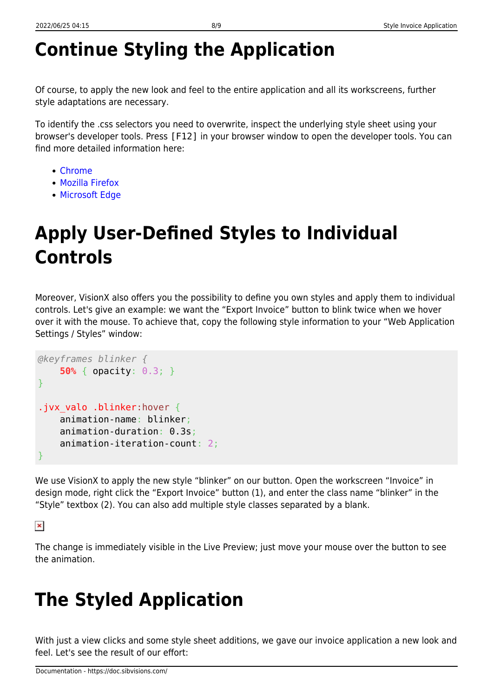# <span id="page-8-0"></span>**Continue Styling the Application**

Of course, to apply the new look and feel to the entire application and all its workscreens, further style adaptations are necessary.

To identify the .css selectors you need to overwrite, inspect the underlying style sheet using your browser's developer tools. Press [F12] in your browser window to open the developer tools. You can find more detailed information here:

- [Chrome](https://developers.google.com/web/tools/chrome-devtools/css/)
- [Mozilla Firefox](https://developer.mozilla.org/en-US/docs/Tools/Page_Inspector/How_to/Examine_and_edit_CSS)
- [Microsoft Edge](https://docs.microsoft.com/de-de/microsoft-edge/devtools-guide/elements)

# <span id="page-8-1"></span>**Apply User-Defined Styles to Individual Controls**

Moreover, VisionX also offers you the possibility to define you own styles and apply them to individual controls. Let's give an example: we want the "Export Invoice" button to blink twice when we hover over it with the mouse. To achieve that, copy the following style information to your "Web Application Settings / Styles" window:

```
@keyframes blinker {
     50% { opacity: 0.3; }
}
.jvx valo .blinker:hover {
     animation-name: blinker;
     animation-duration: 0.3s;
     animation-iteration-count: 2;
}
```
We use VisionX to apply the new style "blinker" on our button. Open the workscreen "Invoice" in design mode, right click the "Export Invoice" button (1), and enter the class name "blinker" in the "Style" textbox (2). You can also add multiple style classes separated by a blank.

 $\pmb{\times}$ 

The change is immediately visible in the Live Preview; just move your mouse over the button to see the animation.

## <span id="page-8-2"></span>**The Styled Application**

With just a view clicks and some style sheet additions, we gave our invoice application a new look and feel. Let's see the result of our effort: